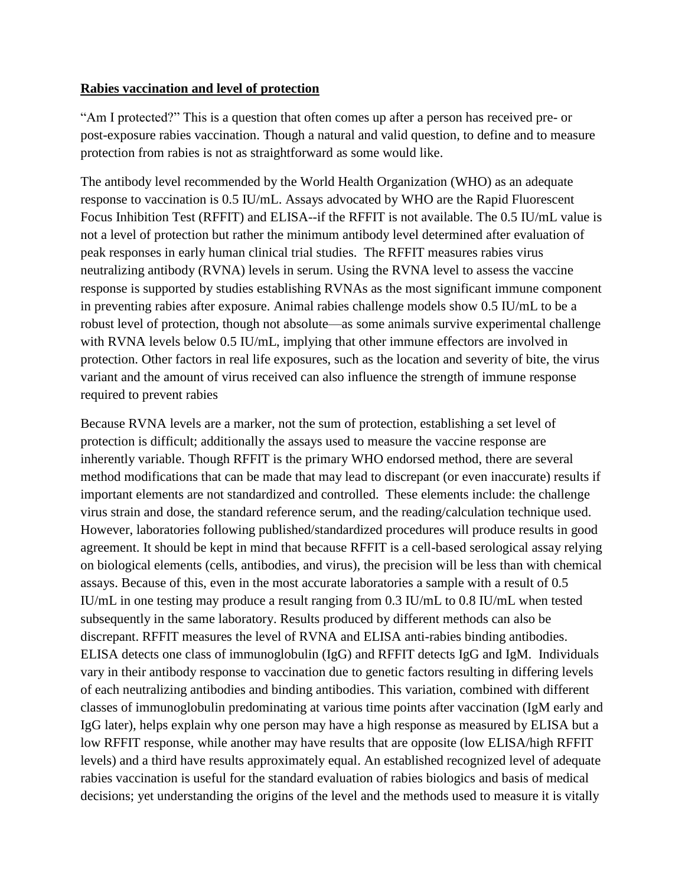## **Rabies vaccination and level of protection**

"Am I protected?" This is a question that often comes up after a person has received pre- or post-exposure rabies vaccination. Though a natural and valid question, to define and to measure protection from rabies is not as straightforward as some would like.

The antibody level recommended by the World Health Organization (WHO) as an adequate response to vaccination is 0.5 IU/mL. Assays advocated by WHO are the Rapid Fluorescent Focus Inhibition Test (RFFIT) and ELISA--if the RFFIT is not available. The 0.5 IU/mL value is not a level of protection but rather the minimum antibody level determined after evaluation of peak responses in early human clinical trial studies. The RFFIT measures rabies virus neutralizing antibody (RVNA) levels in serum. Using the RVNA level to assess the vaccine response is supported by studies establishing RVNAs as the most significant immune component in preventing rabies after exposure. Animal rabies challenge models show 0.5 IU/mL to be a robust level of protection, though not absolute—as some animals survive experimental challenge with RVNA levels below 0.5 IU/mL, implying that other immune effectors are involved in protection. Other factors in real life exposures, such as the location and severity of bite, the virus variant and the amount of virus received can also influence the strength of immune response required to prevent rabies

Because RVNA levels are a marker, not the sum of protection, establishing a set level of protection is difficult; additionally the assays used to measure the vaccine response are inherently variable. Though RFFIT is the primary WHO endorsed method, there are several method modifications that can be made that may lead to discrepant (or even inaccurate) results if important elements are not standardized and controlled. These elements include: the challenge virus strain and dose, the standard reference serum, and the reading/calculation technique used. However, laboratories following published/standardized procedures will produce results in good agreement. It should be kept in mind that because RFFIT is a cell-based serological assay relying on biological elements (cells, antibodies, and virus), the precision will be less than with chemical assays. Because of this, even in the most accurate laboratories a sample with a result of 0.5 IU/mL in one testing may produce a result ranging from 0.3 IU/mL to 0.8 IU/mL when tested subsequently in the same laboratory. Results produced by different methods can also be discrepant. RFFIT measures the level of RVNA and ELISA anti-rabies binding antibodies. ELISA detects one class of immunoglobulin (IgG) and RFFIT detects IgG and IgM. Individuals vary in their antibody response to vaccination due to genetic factors resulting in differing levels of each neutralizing antibodies and binding antibodies. This variation, combined with different classes of immunoglobulin predominating at various time points after vaccination (IgM early and IgG later), helps explain why one person may have a high response as measured by ELISA but a low RFFIT response, while another may have results that are opposite (low ELISA/high RFFIT levels) and a third have results approximately equal. An established recognized level of adequate rabies vaccination is useful for the standard evaluation of rabies biologics and basis of medical decisions; yet understanding the origins of the level and the methods used to measure it is vitally